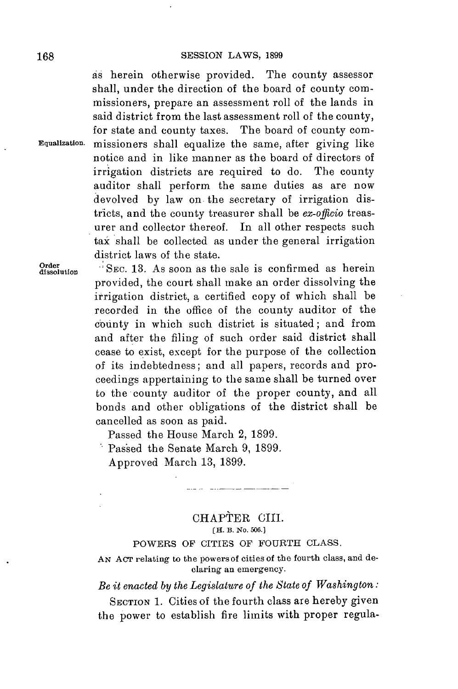as herein otherwise provided. The county assessor shall, under the direction of the board of county commissioners, prepare an assessment roll of the lands in said district from the last assessment roll of the county, for state and county taxes. The board of county com-**Equalization.** missioners shall equalize the same, after giving like notice and in like manner as the board of directors of irrigation districts are required to do. The county auditor shall perform the same duties as are now devolved **by** law on the secretary of irrigation districts, and the county treasurer shall be *ex-officio* treasurer and collector thereof. In all other respects such tax shall be collected as under the general irrigation district laws of the state.

**Order SEC. 13.** As soon as the sale is confirmed as herein provided, the court shall make an order dissolving the irrigation district, a certified copy of which shall be recorded in the office of the county auditor of the county in which such district is situated; and from and after the filing of such order said district shall cease to exist, except for the purpose of the collection **of** its indebtedness; and all papers, records and proceedings appertaining to the same shall be turned over to the county auditor of the proper county, and all bonds and other obligations of the district shall be cancelled as soon as paid.

Passed the House March 2, **1899.**

Passed the Senate March **9, 1899.**

Approved March **13, 1899.**

## CHAPTER CIII. **[H. B. No. 500.]**

 $\frac{1}{2} \left( \frac{1}{2} \right) \left( \frac{1}{2} \right) \left( \frac{1}{2} \right) \left( \frac{1}{2} \right) \left( \frac{1}{2} \right) \left( \frac{1}{2} \right) \left( \frac{1}{2} \right) \left( \frac{1}{2} \right) \left( \frac{1}{2} \right) \left( \frac{1}{2} \right) \left( \frac{1}{2} \right) \left( \frac{1}{2} \right) \left( \frac{1}{2} \right) \left( \frac{1}{2} \right) \left( \frac{1}{2} \right) \left( \frac{1}{2} \right) \left( \frac$ 

# POWERS OF CITIES OF FOURTH **CLASS.**

**AN AcT relating to the powers of cities of the fourth class, and declaring an emergency.**

*Be it enacted by the Legislature of the State of Washington:*

SECTION **1.** Cities of the fourth class are hereby given the power to establish fire limits with proper regula